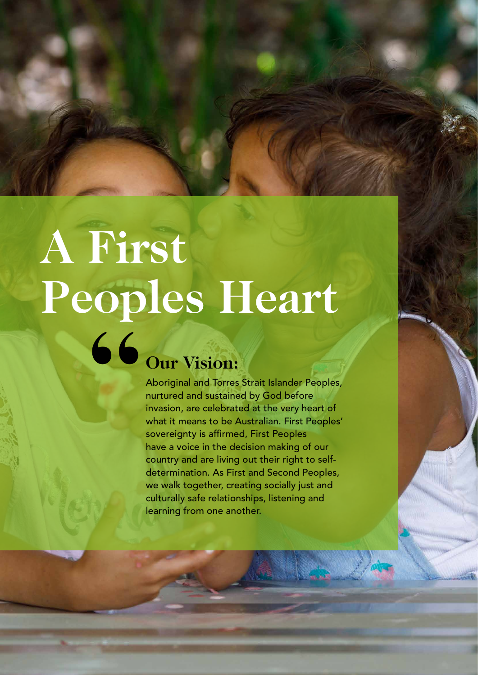# **A First Peoples Heart " Our Vision:**

Aboriginal and Torres Strait Islander Peoples, nurtured and sustained by God before invasion, are celebrated at the very heart of what it means to be Australian. First Peoples' sovereignty is affirmed, First Peoples have a voice in the decision making of our country and are living out their right to selfdetermination. As First and Second Peoples, we walk together, creating socially just and culturally safe relationships, listening and learning from one another.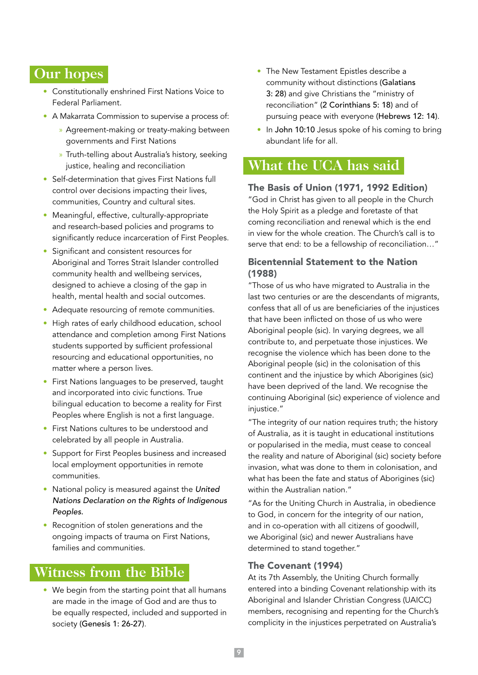## **Our hopes**

- Constitutionally enshrined First Nations Voice to Federal Parliament.
- A Makarrata Commission to supervise a process of:
	- » Agreement-making or treaty-making between governments and First Nations
	- » Truth-telling about Australia's history, seeking justice, healing and reconciliation
- Self-determination that gives First Nations full control over decisions impacting their lives, communities, Country and cultural sites.
- Meaningful, effective, culturally-appropriate and research-based policies and programs to significantly reduce incarceration of First Peoples.
- Significant and consistent resources for Aboriginal and Torres Strait Islander controlled community health and wellbeing services, designed to achieve a closing of the gap in health, mental health and social outcomes.
- Adequate resourcing of remote communities.
- High rates of early childhood education, school attendance and completion among First Nations students supported by sufficient professional resourcing and educational opportunities, no matter where a person lives.
- First Nations languages to be preserved, taught and incorporated into civic functions. True bilingual education to become a reality for First Peoples where English is not a first language.
- First Nations cultures to be understood and celebrated by all people in Australia.
- Support for First Peoples business and increased local employment opportunities in remote communities.
- National policy is measured against the *United Nations Declaration on the Rights of Indigenous Peoples.*
- Recognition of stolen generations and the ongoing impacts of trauma on First Nations, families and communities.

## **Witness from the Bible**

• We begin from the starting point that all humans are made in the image of God and are thus to be equally respected, included and supported in society (Genesis 1: 26-27).

- The New Testament Epistles describe a community without distinctions (Galatians 3: 28) and give Christians the "ministry of reconciliation" (2 Corinthians 5: 18) and of pursuing peace with everyone (Hebrews 12: 14).
- In John 10:10 Jesus spoke of his coming to bring abundant life for all.

## **What the UCA has said**

#### The Basis of Union (1971, 1992 Edition)

"God in Christ has given to all people in the Church the Holy Spirit as a pledge and foretaste of that coming reconciliation and renewal which is the end in view for the whole creation. The Church's call is to serve that end: to be a fellowship of reconciliation…"

#### Bicentennial Statement to the Nation (1988)

"Those of us who have migrated to Australia in the last two centuries or are the descendants of migrants, confess that all of us are beneficiaries of the injustices that have been inflicted on those of us who were Aboriginal people (sic). In varying degrees, we all contribute to, and perpetuate those injustices. We recognise the violence which has been done to the Aboriginal people (sic) in the colonisation of this continent and the injustice by which Aborigines (sic) have been deprived of the land. We recognise the continuing Aboriginal (sic) experience of violence and injustice."

"The integrity of our nation requires truth; the history of Australia, as it is taught in educational institutions or popularised in the media, must cease to conceal the reality and nature of Aboriginal (sic) society before invasion, what was done to them in colonisation, and what has been the fate and status of Aborigines (sic) within the Australian nation."

"As for the Uniting Church in Australia, in obedience to God, in concern for the integrity of our nation, and in co-operation with all citizens of goodwill, we Aboriginal (sic) and newer Australians have determined to stand together."

#### The Covenant (1994)

At its 7th Assembly, the Uniting Church formally entered into a binding Covenant relationship with its Aboriginal and Islander Christian Congress (UAICC) members, recognising and repenting for the Church's complicity in the injustices perpetrated on Australia's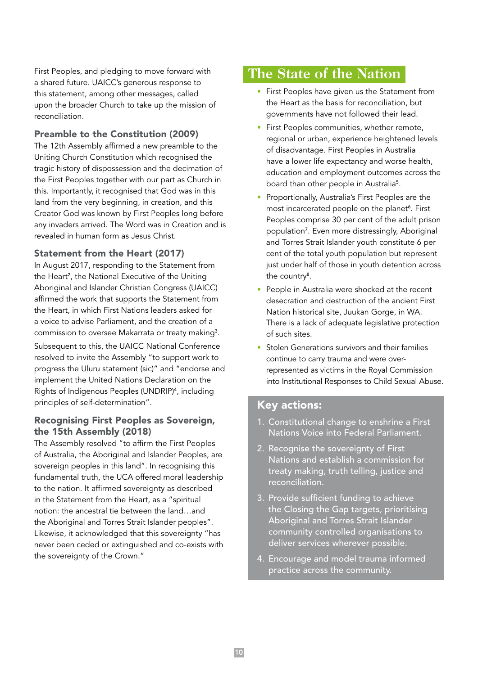First Peoples, and pledging to move forward with a shared future. UAICC's generous response to this statement, among other messages, called upon the broader Church to take up the mission of reconciliation.

#### Preamble to the Constitution (2009)

The 12th Assembly affirmed a new preamble to the Uniting Church Constitution which recognised the tragic history of dispossession and the decimation of the First Peoples together with our part as Church in this. Importantly, it recognised that God was in this land from the very beginning, in creation, and this Creator God was known by First Peoples long before any invaders arrived. The Word was in Creation and is revealed in human form as Jesus Christ.

#### Statement from the Heart (2017)

In August 2017, responding to the Statement from the Heart<sup>2</sup>, the National Executive of the Uniting Aboriginal and Islander Christian Congress (UAICC) affirmed the work that supports the Statement from the Heart, in which First Nations leaders asked for a voice to advise Parliament, and the creation of a commission to oversee Makarrata or treaty making<sup>3</sup>.

Subsequent to this, the UAICC National Conference resolved to invite the Assembly "to support work to progress the Uluru statement (sic)" and "endorse and implement the United Nations Declaration on the Rights of Indigenous Peoples (UNDRIP)<sup>4</sup> , including principles of self-determination".

### Recognising First Peoples as Sovereign, the 15th Assembly (2018)

The Assembly resolved "to affirm the First Peoples of Australia, the Aboriginal and Islander Peoples, are sovereign peoples in this land". In recognising this fundamental truth, the UCA offered moral leadership to the nation. It affirmed sovereignty as described in the Statement from the Heart, as a "spiritual notion: the ancestral tie between the land…and the Aboriginal and Torres Strait Islander peoples". Likewise, it acknowledged that this sovereignty "has never been ceded or extinguished and co-exists with the sovereignty of the Crown."

## **The State of the Nation**

- First Peoples have given us the Statement from the Heart as the basis for reconciliation, but governments have not followed their lead.
- First Peoples communities, whether remote, regional or urban, experience heightened levels of disadvantage. First Peoples in Australia have a lower life expectancy and worse health, education and employment outcomes across the board than other people in Australia<sup>5</sup>.
- Proportionally, Australia's First Peoples are the most incarcerated people on the planet<sup>6</sup>. First Peoples comprise 30 per cent of the adult prison population<sup>7</sup> . Even more distressingly, Aboriginal and Torres Strait Islander youth constitute 6 per cent of the total youth population but represent just under half of those in youth detention across the country<sup>8</sup>.
- People in Australia were shocked at the recent desecration and destruction of the ancient First Nation historical site, Juukan Gorge, in WA. There is a lack of adequate legislative protection of such sites.
- Stolen Generations survivors and their families continue to carry trauma and were overrepresented as victims in the Royal Commission into Institutional Responses to Child Sexual Abuse.

## Key actions:

- 1. Constitutional change to enshrine a First Nations Voice into Federal Parliament.
- 2. Recognise the sovereignty of First Nations and establish a commission for treaty making, truth telling, justice and reconciliation.
- 3. Provide sufficient funding to achieve the Closing the Gap targets, prioritising Aboriginal and Torres Strait Islander community controlled organisations to deliver services wherever possible.
- 4. Encourage and model trauma informed practice across the community.